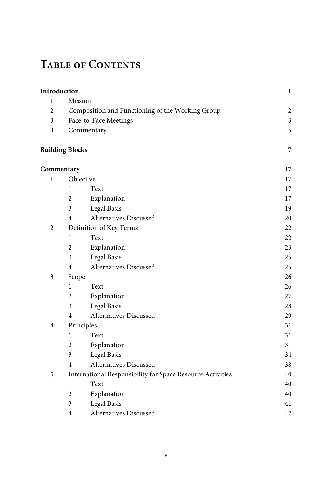## **Table of Contents**

| Introduction            |                         |                                                            | $\mathbf 1$             |  |
|-------------------------|-------------------------|------------------------------------------------------------|-------------------------|--|
| 1                       | Mission                 | $\mathbf 1$                                                |                         |  |
| $\overline{2}$          |                         | Composition and Functioning of the Working Group           |                         |  |
| 3                       |                         | Face-to-Face Meetings                                      | $\overline{\mathbf{3}}$ |  |
| $\overline{4}$          | Commentary              |                                                            |                         |  |
|                         | <b>Building Blocks</b>  |                                                            | 7                       |  |
|                         | Commentary              |                                                            |                         |  |
| $\bf{l}$                | Objective               |                                                            | 17                      |  |
|                         | 1                       | Text                                                       | $17\,$                  |  |
|                         | $\overline{2}$          | Explanation                                                | 17                      |  |
|                         | $\mathfrak{Z}$          | Legal Basis                                                | 19                      |  |
|                         | 4                       | Alternatives Discussed                                     | 20                      |  |
| $\overline{2}$          | Definition of Key Terms |                                                            | 22                      |  |
|                         | $\mathbf{1}$            | Text                                                       | 22                      |  |
|                         | $\overline{2}$          | Explanation                                                | 23                      |  |
|                         | $\mathfrak{Z}$          | Legal Basis                                                | 25                      |  |
|                         | $\overline{4}$          | Alternatives Discussed                                     | 25                      |  |
| 3                       | Scope                   |                                                            | 26                      |  |
|                         | 1                       | Text                                                       | 26                      |  |
|                         | $\overline{2}$          | Explanation                                                | 27                      |  |
|                         | 3                       | Legal Basis                                                | 28                      |  |
|                         | $\overline{4}$          | Alternatives Discussed                                     | 29                      |  |
| $\overline{\mathbf{4}}$ |                         | Principles                                                 | 31                      |  |
|                         | $\mathbf{1}$            | Text                                                       | 31                      |  |
|                         | $\overline{2}$          | Explanation                                                | 31                      |  |
|                         | 3                       | Legal Basis                                                | 34                      |  |
|                         | $\overline{4}$          | Alternatives Discussed                                     | 38                      |  |
| 5                       |                         | International Responsibility for Space Resource Activities | 40                      |  |
|                         | $\mathbf{1}$            | Text                                                       | 40                      |  |
|                         | $\overline{2}$          | Explanation                                                | 40                      |  |
|                         | 3                       | Legal Basis                                                | 41                      |  |
|                         | 4                       | Alternatives Discussed                                     | 42                      |  |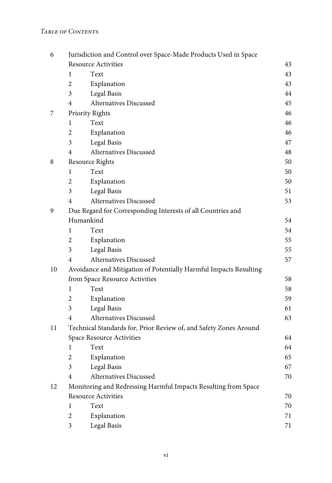## *Table of Contents*

| 6  |                            | Jurisdiction and Control over Space-Made Products Used in Space   |    |  |  |
|----|----------------------------|-------------------------------------------------------------------|----|--|--|
|    | <b>Resource Activities</b> |                                                                   |    |  |  |
|    | 1                          | Text                                                              | 43 |  |  |
|    | $\overline{2}$             | Explanation                                                       | 43 |  |  |
|    | 3                          | Legal Basis                                                       | 44 |  |  |
|    | 4                          | Alternatives Discussed                                            | 45 |  |  |
| 7  |                            | Priority Rights                                                   | 46 |  |  |
|    | 1                          | Text                                                              | 46 |  |  |
|    | 2                          | Explanation                                                       | 46 |  |  |
|    | 3                          | Legal Basis                                                       | 47 |  |  |
|    | 4                          | Alternatives Discussed                                            | 48 |  |  |
| 8  |                            | Resource Rights                                                   |    |  |  |
|    | 1                          | Text                                                              | 50 |  |  |
|    | $\overline{2}$             | Explanation                                                       | 50 |  |  |
|    | 3                          | Legal Basis                                                       | 51 |  |  |
|    | 4                          | Alternatives Discussed                                            | 53 |  |  |
| 9  |                            | Due Regard for Corresponding Interests of all Countries and       |    |  |  |
|    |                            | Humankind                                                         |    |  |  |
|    | 1                          | Text                                                              | 54 |  |  |
|    | $\overline{2}$             | Explanation                                                       | 55 |  |  |
|    | 3                          | Legal Basis                                                       | 55 |  |  |
|    | 4                          | Alternatives Discussed                                            | 57 |  |  |
| 10 |                            | Avoidance and Mitigation of Potentially Harmful Impacts Resulting |    |  |  |
|    |                            | from Space Resource Activities<br>58                              |    |  |  |
|    | 1                          | Text                                                              | 58 |  |  |
|    | 2                          | Explanation                                                       | 59 |  |  |
|    | 3                          | Legal Basis                                                       | 61 |  |  |
|    | $\overline{4}$             | Alternatives Discussed                                            | 63 |  |  |
| 11 |                            | Technical Standards for, Prior Review of, and Safety Zones Around |    |  |  |
|    |                            | Space Resource Activities                                         |    |  |  |
|    | 1                          | Text                                                              | 64 |  |  |
|    | $\overline{c}$             | Explanation                                                       | 65 |  |  |
|    | 3                          | Legal Basis                                                       | 67 |  |  |
|    | 4                          | <b>Alternatives Discussed</b>                                     | 70 |  |  |
| 12 |                            | Monitoring and Redressing Harmful Impacts Resulting from Space    |    |  |  |
|    |                            | <b>Resource Activities</b>                                        | 70 |  |  |
|    | $\mathbf 1$                | Text                                                              | 70 |  |  |
|    | $\overline{\mathbf{c}}$    | Explanation                                                       | 71 |  |  |
|    | 3                          | Legal Basis                                                       | 71 |  |  |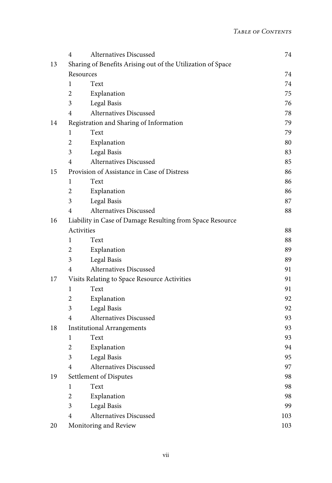|        | 4                       | Alternatives Discussed                                      | 74  |  |
|--------|-------------------------|-------------------------------------------------------------|-----|--|
| 13     |                         | Sharing of Benefits Arising out of the Utilization of Space |     |  |
|        |                         | Resources                                                   |     |  |
|        | 1                       | Text                                                        | 74  |  |
|        | $\overline{2}$          | Explanation                                                 | 75  |  |
|        | 3                       | Legal Basis                                                 | 76  |  |
|        | $\overline{4}$          | Alternatives Discussed                                      | 78  |  |
| $14\,$ |                         | Registration and Sharing of Information                     | 79  |  |
|        | 1                       | Text                                                        | 79  |  |
|        | $\overline{2}$          | Explanation                                                 | 80  |  |
|        | 3                       | Legal Basis                                                 | 83  |  |
|        | 4                       | Alternatives Discussed                                      | 85  |  |
| 15     |                         | Provision of Assistance in Case of Distress                 | 86  |  |
|        | 1                       | Text                                                        | 86  |  |
|        | 2                       | Explanation                                                 | 86  |  |
|        | 3                       | Legal Basis                                                 | 87  |  |
|        | $\overline{\mathbf{4}}$ | Alternatives Discussed                                      | 88  |  |
| 16     |                         | Liability in Case of Damage Resulting from Space Resource   |     |  |
|        |                         | Activities                                                  | 88  |  |
|        | 1                       | Text                                                        | 88  |  |
|        | 2                       | Explanation                                                 | 89  |  |
|        | 3                       | Legal Basis                                                 | 89  |  |
|        | 4                       | Alternatives Discussed                                      | 91  |  |
| 17     |                         | Visits Relating to Space Resource Activities                | 91  |  |
|        | 1                       | Text                                                        | 91  |  |
|        | 2                       | Explanation                                                 | 92  |  |
|        | 3                       | Legal Basis                                                 | 92  |  |
|        | 4                       | Alternatives Discussed                                      | 93  |  |
| 18     |                         | <b>Institutional Arrangements</b>                           |     |  |
|        | 1                       | Text                                                        | 93  |  |
|        | 2                       | Explanation                                                 | 94  |  |
|        | 3                       | Legal Basis                                                 | 95  |  |
|        | 4                       | Alternatives Discussed                                      | 97  |  |
| 19     | Settlement of Disputes  |                                                             | 98  |  |
|        | $\mathbf 1$             | Text                                                        | 98  |  |
|        | $\overline{2}$          | Explanation                                                 | 98  |  |
|        | 3                       | Legal Basis                                                 | 99  |  |
|        | $\overline{4}$          | Alternatives Discussed                                      | 103 |  |
| 20     |                         | Monitoring and Review                                       | 103 |  |